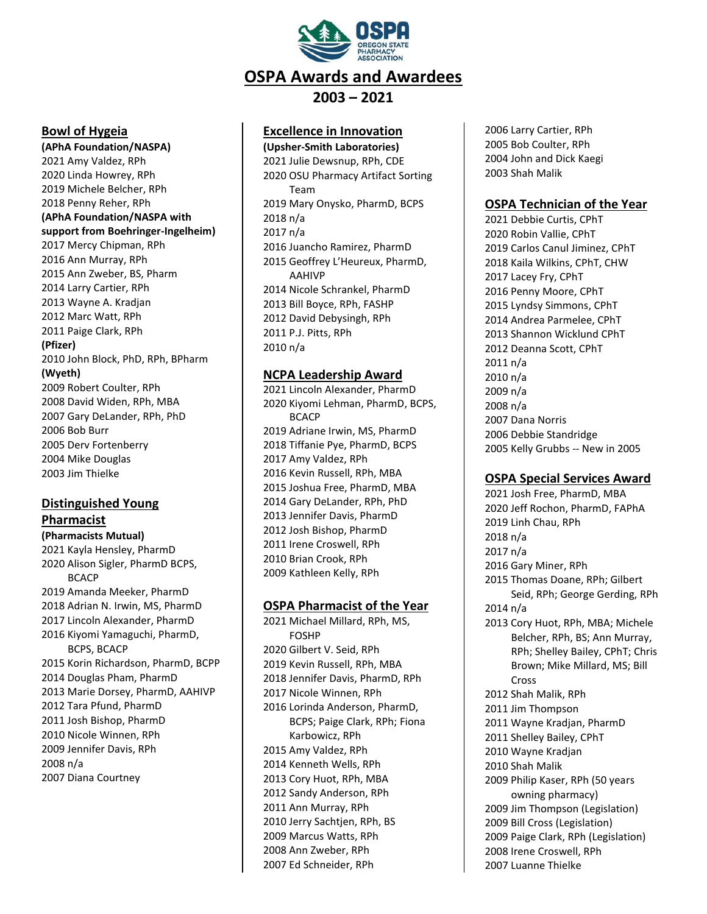

#### **Bowl of Hygeia**

**(APhA Foundation/NASPA)** 2021 Amy Valdez, RPh 2020 Linda Howrey, RPh 2019 Michele Belcher, RPh 2018 Penny Reher, RPh **(APhA Foundation/NASPA with support from Boehringer-Ingelheim)** 2017 Mercy Chipman, RPh 2016 Ann Murray, RPh 2015 Ann Zweber, BS, Pharm 2014 Larry Cartier, RPh 2013 Wayne A. Kradjan 2012 Marc Watt, RPh 2011 Paige Clark, RPh **(Pfizer)** 2010 John Block, PhD, RPh, BPharm **(Wyeth)** 2009 Robert Coulter, RPh 2008 David Widen, RPh, MBA 2007 Gary DeLander, RPh, PhD 2006 Bob Burr 2005 Derv Fortenberry

2004 Mike Douglas 2003 Jim Thielke

# **Distinguished Young**

#### **Pharmacist**

**(Pharmacists Mutual)** 2021 Kayla Hensley, PharmD 2020 Alison Sigler, PharmD BCPS, **BCACP** 2019 Amanda Meeker, PharmD 2018 Adrian N. Irwin, MS, PharmD 2017 Lincoln Alexander, PharmD 2016 Kiyomi Yamaguchi, PharmD, BCPS, BCACP 2015 Korin Richardson, PharmD, BCPP 2014 Douglas Pham, PharmD 2013 Marie Dorsey, PharmD, AAHIVP 2012 Tara Pfund, PharmD 2011 Josh Bishop, PharmD 2010 Nicole Winnen, RPh 2009 Jennifer Davis, RPh 2008 n/a 2007 Diana Courtney

## **Excellence in Innovation**

**(Upsher-Smith Laboratories)** 2021 Julie Dewsnup, RPh, CDE 2020 OSU Pharmacy Artifact Sorting Team 2019 Mary Onysko, PharmD, BCPS 2018 n/a 2017 n/a 2016 Juancho Ramirez, PharmD 2015 Geoffrey L'Heureux, PharmD, AAHIVP 2014 Nicole Schrankel, PharmD 2013 Bill Boyce, RPh, FASHP 2012 David Debysingh, RPh 2011 P.J. Pitts, RPh 2010 n/a

### **NCPA Leadership Award**

2021 Lincoln Alexander, PharmD 2020 Kiyomi Lehman, PharmD, BCPS, **BCACP** 2019 Adriane Irwin, MS, PharmD 2018 Tiffanie Pye, PharmD, BCPS 2017 Amy Valdez, RPh 2016 Kevin Russell, RPh, MBA 2015 Joshua Free, PharmD, MBA 2014 Gary DeLander, RPh, PhD 2013 Jennifer Davis, PharmD 2012 Josh Bishop, PharmD 2011 Irene Croswell, RPh 2010 Brian Crook, RPh 2009 Kathleen Kelly, RPh

## **OSPA Pharmacist of the Year**

2021 Michael Millard, RPh, MS, FOSHP 2020 Gilbert V. Seid, RPh 2019 Kevin Russell, RPh, MBA 2018 Jennifer Davis, PharmD, RPh 2017 Nicole Winnen, RPh 2016 Lorinda Anderson, PharmD, BCPS; Paige Clark, RPh; Fiona Karbowicz, RPh 2015 Amy Valdez, RPh 2014 Kenneth Wells, RPh 2013 Cory Huot, RPh, MBA 2012 Sandy Anderson, RPh 2011 Ann Murray, RPh 2010 Jerry Sachtjen, RPh, BS 2009 Marcus Watts, RPh 2008 Ann Zweber, RPh 2007 Ed Schneider, RPh

2006 Larry Cartier, RPh 2005 Bob Coulter, RPh 2004 John and Dick Kaegi 2003 Shah Malik

## **OSPA Technician of the Year**

2021 Debbie Curtis, CPhT 2020 Robin Vallie, CPhT 2019 Carlos Canul Jiminez, CPhT 2018 Kaila Wilkins, CPhT, CHW 2017 Lacey Fry, CPhT 2016 Penny Moore, CPhT 2015 Lyndsy Simmons, CPhT 2014 Andrea Parmelee, CPhT 2013 Shannon Wicklund CPhT 2012 Deanna Scott, CPhT 2011 n/a 2010 n/a 2009 n/a 2008 n/a 2007 Dana Norris 2006 Debbie Standridge 2005 Kelly Grubbs -- New in 2005

## **OSPA Special Services Award**

2021 Josh Free, PharmD, MBA 2020 Jeff Rochon, PharmD, FAPhA 2019 Linh Chau, RPh 2018 n/a 2017 n/a 2016 Gary Miner, RPh 2015 Thomas Doane, RPh; Gilbert Seid, RPh; George Gerding, RPh 2014 n/a 2013 Cory Huot, RPh, MBA; Michele Belcher, RPh, BS; Ann Murray, RPh; Shelley Bailey, CPhT; Chris Brown; Mike Millard, MS; Bill Cross 2012 Shah Malik, RPh 2011 Jim Thompson 2011 Wayne Kradjan, PharmD 2011 Shelley Bailey, CPhT 2010 Wayne Kradjan 2010 Shah Malik 2009 Philip Kaser, RPh (50 years owning pharmacy) 2009 Jim Thompson (Legislation) 2009 Bill Cross (Legislation) 2009 Paige Clark, RPh (Legislation) 2008 Irene Croswell, RPh 2007 Luanne Thielke